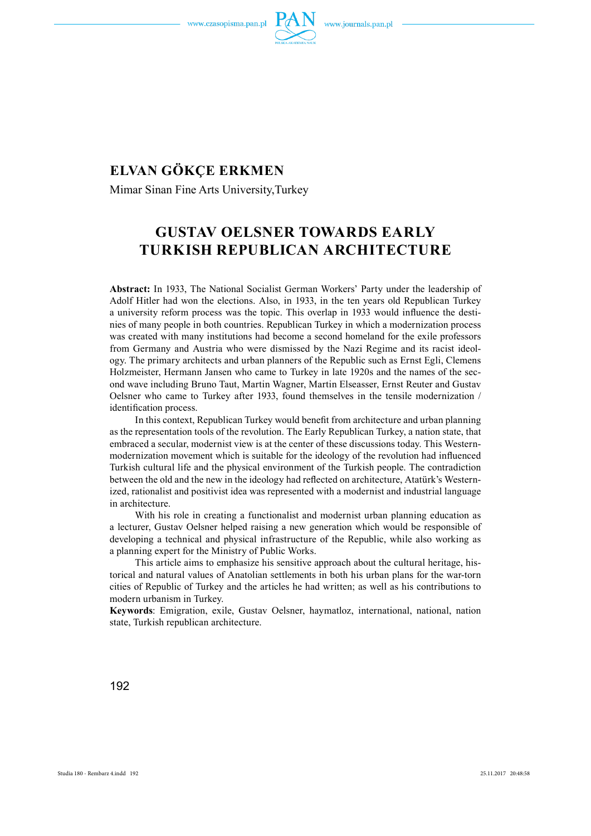



# **ELVAN GÖKÇE ERKMEN**

Mimar Sinan Fine Arts University,Turkey

## **GUSTAV OELSNER TOWARDS EARLY TURKISH REPUBLICAN ARCHITECTURE**

**Abstract:** In 1933, The National Socialist German Workers' Party under the leadership of Adolf Hitler had won the elections. Also, in 1933, in the ten years old Republican Turkey a university reform process was the topic. This overlap in 1933 would influence the destinies of many people in both countries. Republican Turkey in which a modernization process was created with many institutions had become a second homeland for the exile professors from Germany and Austria who were dismissed by the Nazi Regime and its racist ideology. The primary architects and urban planners of the Republic such as Ernst Egli, Clemens Holzmeister, Hermann Jansen who came to Turkey in late 1920s and the names of the second wave including Bruno Taut, Martin Wagner, Martin Elseasser, Ernst Reuter and Gustav Oelsner who came to Turkey after 1933, found themselves in the tensile modernization / identification process.

In this context, Republican Turkey would benefit from architecture and urban planning as the representation tools of the revolution. The Early Republican Turkey, a nation state, that embraced a secular, modernist view is at the center of these discussions today. This Westernmodernization movement which is suitable for the ideology of the revolution had influenced Turkish cultural life and the physical environment of the Turkish people. The contradiction between the old and the new in the ideology had reflected on architecture, Atatürk's Westernized, rationalist and positivist idea was represented with a modernist and industrial language in architecture.

With his role in creating a functionalist and modernist urban planning education as a lecturer, Gustav Oelsner helped raising a new generation which would be responsible of developing a technical and physical infrastructure of the Republic, while also working as a planning expert for the Ministry of Public Works.

This article aims to emphasize his sensitive approach about the cultural heritage, historical and natural values of Anatolian settlements in both his urban plans for the war-torn cities of Republic of Turkey and the articles he had written; as well as his contributions to modern urbanism in Turkey.

**Keywords**: Emigration, exile, Gustav Oelsner, haymatloz, international, national, nation state, Turkish republican architecture.

192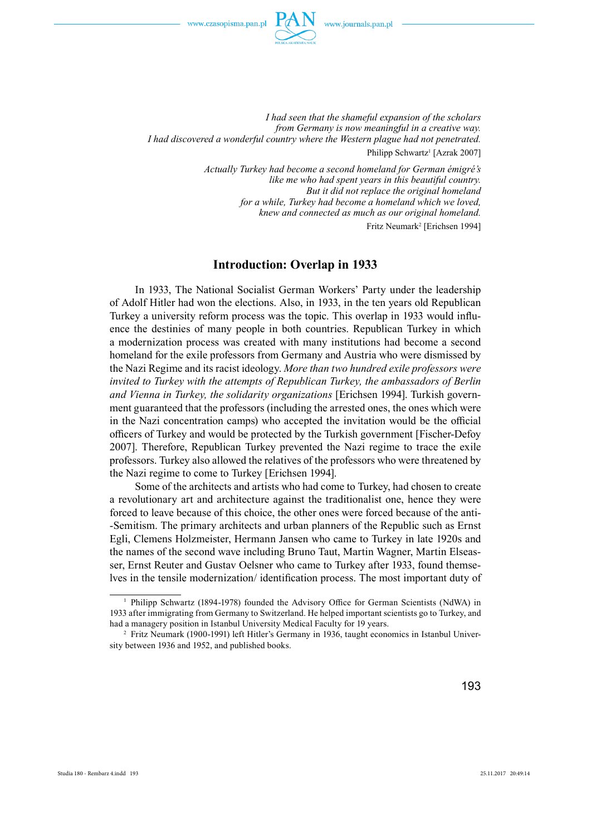

*I had seen that the shameful expansion of the scholars from Germany is now meaningful in a creative way. I had discovered a wonderful country where the Western plague had not penetrated.*  Philipp Schwartz<sup>1</sup> [Azrak 2007]

> *Actually Turkey had become a second homeland for German émigré's like me who had spent years in this beautiful country. But it did not replace the original homeland for a while, Turkey had become a homeland which we loved, knew and connected as much as our original homeland.*  Fritz Neumark<sup>2</sup> [Erichsen 1994]

#### **Introduction: Overlap in 1933**

In 1933, The National Socialist German Workers' Party under the leadership of Adolf Hitler had won the elections. Also, in 1933, in the ten years old Republican Turkey a university reform process was the topic. This overlap in 1933 would influence the destinies of many people in both countries. Republican Turkey in which a modernization process was created with many institutions had become a second homeland for the exile professors from Germany and Austria who were dismissed by the Nazi Regime and its racist ideology. *More than two hundred exile professors were invited to Turkey with the attempts of Republican Turkey, the ambassadors of Berlin and Vienna in Turkey, the solidarity organizations* [Erichsen 1994]. Turkish government guaranteed that the professors (including the arrested ones, the ones which were in the Nazi concentration camps) who accepted the invitation would be the official officers of Turkey and would be protected by the Turkish government [Fischer-Defoy] 2007]. Therefore, Republican Turkey prevented the Nazi regime to trace the exile professors. Turkey also allowed the relatives of the professors who were threatened by the Nazi regime to come to Turkey [Erichsen 1994].

Some of the architects and artists who had come to Turkey, had chosen to create a revolutionary art and architecture against the traditionalist one, hence they were forced to leave because of this choice, the other ones were forced because of the anti- -Semitism. The primary architects and urban planners of the Republic such as Ernst Egli, Clemens Holzmeister, Hermann Jansen who came to Turkey in late 1920s and the names of the second wave including Bruno Taut, Martin Wagner, Martin Elseasser, Ernst Reuter and Gustav Oelsner who came to Turkey after 1933, found themselves in the tensile modernization/ identification process. The most important duty of

<sup>&</sup>lt;sup>1</sup> Philipp Schwartz (1894-1978) founded the Advisory Office for German Scientists (NdWA) in 1933 after immigrating from Germany to Switzerland. He helped important scientists go to Turkey, and had a managery position in Istanbul University Medical Faculty for 19 years.

<sup>2</sup> Fritz Neumark (1900-1991) left Hitler's Germany in 1936, taught economics in Istanbul University between 1936 and 1952, and published books.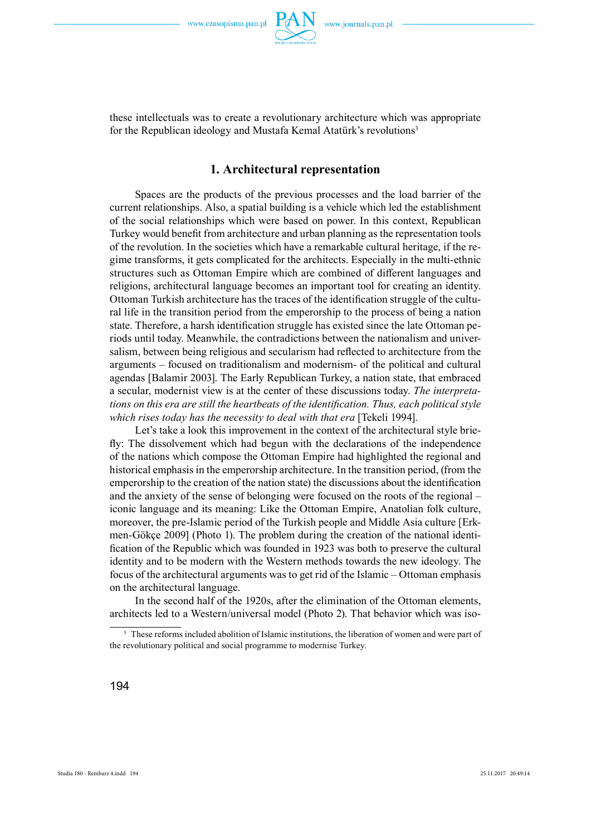

these intellectuals was to create a revolutionary architecture which was appropriate for the Republican ideology and Mustafa Kemal Atatürk's revolutions<sup>3</sup>

## **1. Architectural representation**

Spaces are the products of the previous processes and the load barrier of the current relationships. Also, a spatial building is a vehicle which led the establishment of the social relationships which were based on power. In this context, Republican Turkey would benefit from architecture and urban planning as the representation tools of the revolution. In the societies which have a remarkable cultural heritage, if the regime transforms, it gets complicated for the architects. Especially in the multi-ethnic structures such as Ottoman Empire which are combined of different languages and religions, architectural language becomes an important tool for creating an identity. Ottoman Turkish architecture has the traces of the identification struggle of the cultural life in the transition period from the emperorship to the process of being a nation state. Therefore, a harsh identification struggle has existed since the late Ottoman periods until today. Meanwhile, the contradictions between the nationalism and universalism, between being religious and secularism had reflected to architecture from the arguments – focused on traditionalism and modernism- of the political and cultural agendas [Balamir 2003]. The Early Republican Turkey, a nation state, that embraced a secular, modernist view is at the center of these discussions today. *The interpretations on this era are still the heartbeats of the identification. Thus, each political style which rises today has the necessity to deal with that era* [Tekeli 1994].

Let's take a look this improvement in the context of the architectural style briefly: The dissolvement which had begun with the declarations of the independence of the nations which compose the Ottoman Empire had highlighted the regional and historical emphasis in the emperorship architecture. In the transition period, (from the emperorship to the creation of the nation state) the discussions about the identification and the anxiety of the sense of belonging were focused on the roots of the regional – iconic language and its meaning: Like the Ottoman Empire, Anatolian folk culture, moreover, the pre-Islamic period of the Turkish people and Middle Asia culture [Erkmen-Gökçe 2009] (Photo 1). The problem during the creation of the national identification of the Republic which was founded in 1923 was both to preserve the cultural identity and to be modern with the Western methods towards the new ideology. The focus of the architectural arguments was to get rid of the Islamic – Ottoman emphasis on the architectural language.

In the second half of the 1920s, after the elimination of the Ottoman elements, architects led to a Western/universal model (Photo 2). That behavior which was iso-

<sup>&</sup>lt;sup>3</sup> These reforms included abolition of Islamic institutions, the liberation of women and were part of the revolutionary political and social programme to modernise Turkey.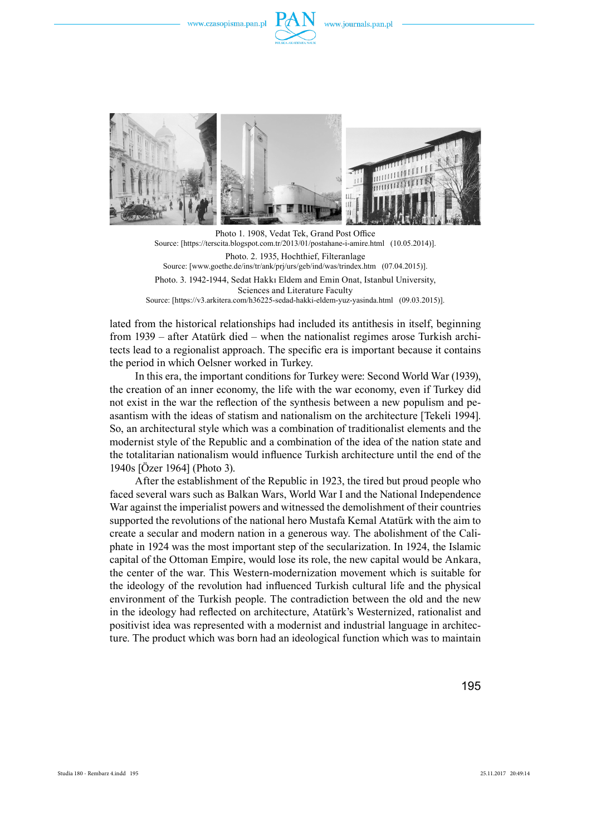



Photo 1. 1908, Vedat Tek, Grand Post Office Source: [https://terscita.blogspot.com.tr/2013/01/postahane-i-amire.html (10.05.2014)]. Photo. 2. 1935, Hochthief, Filteranlage Source: [www.goethe.de/ins/tr/ank/prj/urs/geb/ind/was/trindex.htm (07.04.2015)]. Photo. 3. 1942-1944, Sedat Hakkı Eldem and Emin Onat, Istanbul University, Sciences and Literature Faculty Source: [https://v3.arkitera.com/h36225-sedad-hakki-eldem-yuz-yasinda.html (09.03.2015)].

lated from the historical relationships had included its antithesis in itself, beginning from 1939 – after Atatürk died – when the nationalist regimes arose Turkish architects lead to a regionalist approach. The specific era is important because it contains the period in which Oelsner worked in Turkey.

In this era, the important conditions for Turkey were: Second World War (1939), the creation of an inner economy, the life with the war economy, even if Turkey did not exist in the war the reflection of the synthesis between a new populism and peasantism with the ideas of statism and nationalism on the architecture [Tekeli 1994]. So, an architectural style which was a combination of traditionalist elements and the modernist style of the Republic and a combination of the idea of the nation state and the totalitarian nationalism would influence Turkish architecture until the end of the 1940s [Özer 1964] (Photo 3).

After the establishment of the Republic in 1923, the tired but proud people who faced several wars such as Balkan Wars, World War I and the National Independence War against the imperialist powers and witnessed the demolishment of their countries supported the revolutions of the national hero Mustafa Kemal Atatürk with the aim to create a secular and modern nation in a generous way. The abolishment of the Caliphate in 1924 was the most important step of the secularization. In 1924, the Islamic capital of the Ottoman Empire, would lose its role, the new capital would be Ankara, the center of the war. This Western-modernization movement which is suitable for the ideology of the revolution had influenced Turkish cultural life and the physical environment of the Turkish people. The contradiction between the old and the new in the ideology had reflected on architecture, Atatürk's Westernized, rationalist and positivist idea was represented with a modernist and industrial language in architecture. The product which was born had an ideological function which was to maintain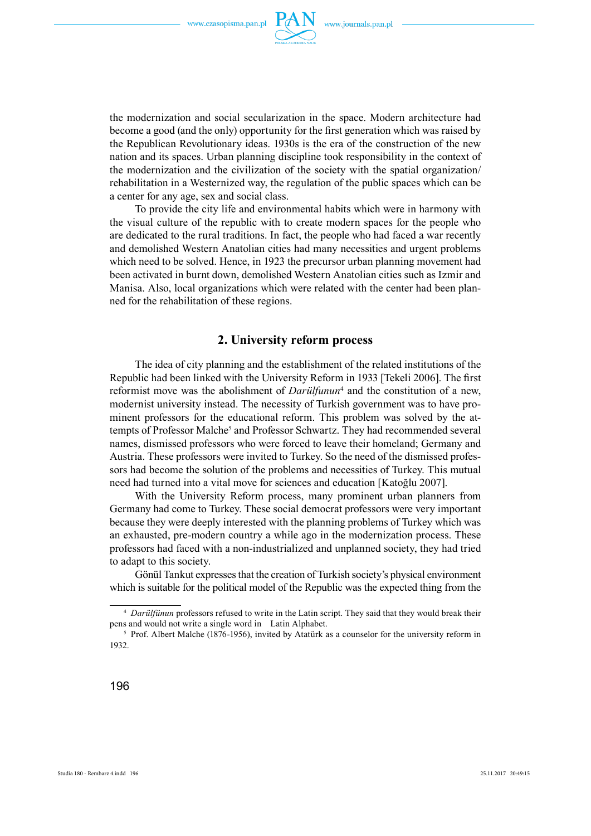

the modernization and social secularization in the space. Modern architecture had become a good (and the only) opportunity for the first generation which was raised by the Republican Revolutionary ideas. 1930s is the era of the construction of the new nation and its spaces. Urban planning discipline took responsibility in the context of the modernization and the civilization of the society with the spatial organization/ rehabilitation in a Westernized way, the regulation of the public spaces which can be a center for any age, sex and social class.

To provide the city life and environmental habits which were in harmony with the visual culture of the republic with to create modern spaces for the people who are dedicated to the rural traditions. In fact, the people who had faced a war recently and demolished Western Anatolian cities had many necessities and urgent problems which need to be solved. Hence, in 1923 the precursor urban planning movement had been activated in burnt down, demolished Western Anatolian cities such as Izmir and Manisa. Also, local organizations which were related with the center had been planned for the rehabilitation of these regions.

#### **2. University reform process**

The idea of city planning and the establishment of the related institutions of the Republic had been linked with the University Reform in 1933 [Tekeli 2006]. The first reformist move was the abolishment of *Darülfunun*<sup>4</sup> and the constitution of a new, modernist university instead. The necessity of Turkish government was to have prominent professors for the educational reform. This problem was solved by the attempts of Professor Malche<sup>5</sup> and Professor Schwartz. They had recommended several names, dismissed professors who were forced to leave their homeland; Germany and Austria. These professors were invited to Turkey. So the need of the dismissed professors had become the solution of the problems and necessities of Turkey. This mutual need had turned into a vital move for sciences and education [Katoğlu 2007].

With the University Reform process, many prominent urban planners from Germany had come to Turkey. These social democrat professors were very important because they were deeply interested with the planning problems of Turkey which was an exhausted, pre-modern country a while ago in the modernization process. These professors had faced with a non-industrialized and unplanned society, they had tried to adapt to this society.

Gönül Tankut expresses that the creation of Turkish society's physical environment which is suitable for the political model of the Republic was the expected thing from the

<sup>4</sup> *Darülfünun* professors refused to write in the Latin script. They said that they would break their pens and would not write a single word in Latin Alphabet.

<sup>&</sup>lt;sup>5</sup> Prof. Albert Malche (1876-1956), invited by Atatürk as a counselor for the university reform in 1932.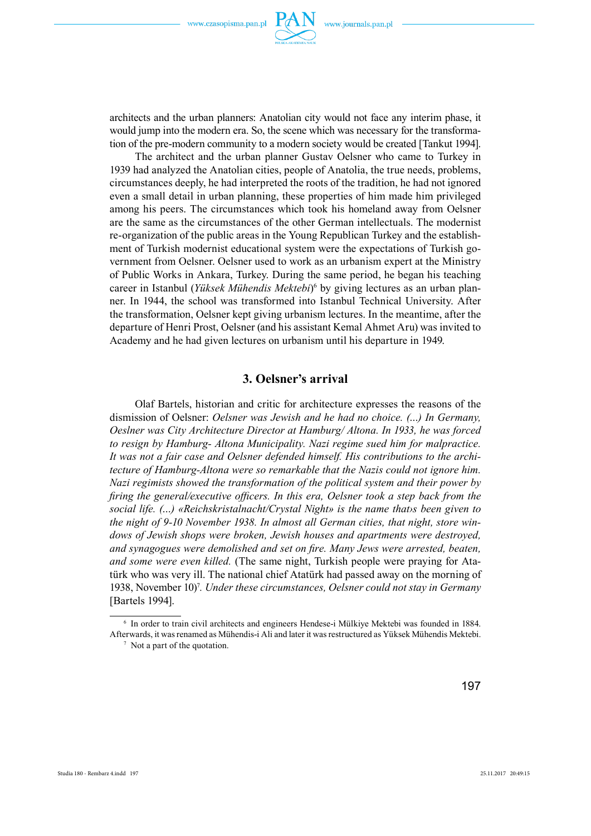

architects and the urban planners: Anatolian city would not face any interim phase, it would jump into the modern era. So, the scene which was necessary for the transformation of the pre-modern community to a modern society would be created [Tankut 1994].

The architect and the urban planner Gustav Oelsner who came to Turkey in 1939 had analyzed the Anatolian cities, people of Anatolia, the true needs, problems, circumstances deeply, he had interpreted the roots of the tradition, he had not ignored even a small detail in urban planning, these properties of him made him privileged among his peers. The circumstances which took his homeland away from Oelsner are the same as the circumstances of the other German intellectuals. The modernist re-organization of the public areas in the Young Republican Turkey and the establishment of Turkish modernist educational system were the expectations of Turkish government from Oelsner. Oelsner used to work as an urbanism expert at the Ministry of Public Works in Ankara, Turkey. During the same period, he began his teaching career in Istanbul (*Yüksek Mühendis Mektebi*)<sup>6</sup> by giving lectures as an urban planner. In 1944, the school was transformed into Istanbul Technical University. After the transformation, Oelsner kept giving urbanism lectures. In the meantime, after the departure of Henri Prost, Oelsner (and his assistant Kemal Ahmet Aru) was invited to Academy and he had given lectures on urbanism until his departure in 1949.

### **3. Oelsner's arrival**

Olaf Bartels, historian and critic for architecture expresses the reasons of the dismission of Oelsner: *Oelsner was Jewish and he had no choice. (…) In Germany, Oeslner was City Architecture Director at Hamburg/ Altona. In 1933, he was forced to resign by Hamburg- Altona Municipality. Nazi regime sued him for malpractice. It was not a fair case and Oelsner defended himself. His contributions to the architecture of Hamburg-Altona were so remarkable that the Nazis could not ignore him. Nazi regimists showed the transformation of the political system and their power by fi ring the general/executive offi cers. In this era, Oelsner took a step back from the social life. (…) «Reichskristalnacht/Crystal Night» is the name that›s been given to the night of 9-10 November 1938. In almost all German cities, that night, store windows of Jewish shops were broken, Jewish houses and apartments were destroyed, and synagogues were demolished and set on fire. Many Jews were arrested, beaten, and some were even killed.* (The same night, Turkish people were praying for Atatürk who was very ill. The national chief Atatürk had passed away on the morning of 1938, November 10)<sup>7</sup>. Under these circumstances, Oelsner could not stay in Germany [Bartels 1994].

<sup>6</sup> In order to train civil architects and engineers Hendese-i Mülkiye Mektebi was founded in 1884. Afterwards, it was renamed as Mühendis-i Ali and later it was restructured as Yüksek Mühendis Mektebi.

<sup>&</sup>lt;sup>7</sup> Not a part of the quotation.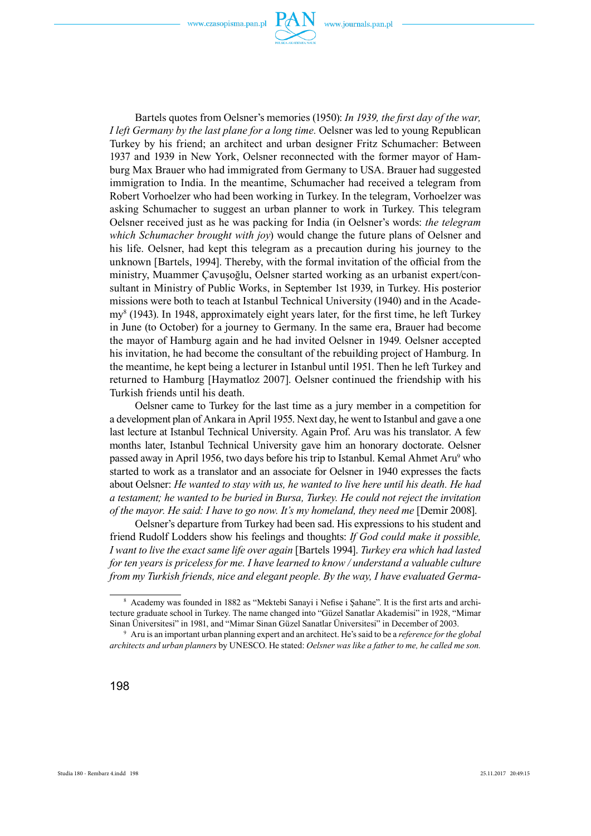

Bartels quotes from Oelsner's memories (1950): *In 1939, the first day of the war, I left Germany by the last plane for a long time.* Oelsner was led to young Republican Turkey by his friend; an architect and urban designer Fritz Schumacher: Between 1937 and 1939 in New York, Oelsner reconnected with the former mayor of Hamburg Max Brauer who had immigrated from Germany to USA. Brauer had suggested immigration to India. In the meantime, Schumacher had received a telegram from Robert Vorhoelzer who had been working in Turkey. In the telegram, Vorhoelzer was asking Schumacher to suggest an urban planner to work in Turkey. This telegram Oelsner received just as he was packing for India (in Oelsner's words: *the telegram which Schumacher brought with joy*) would change the future plans of Oelsner and his life. Oelsner, had kept this telegram as a precaution during his journey to the unknown [Bartels, 1994]. Thereby, with the formal invitation of the official from the ministry, Muammer Çavuşoğlu, Oelsner started working as an urbanist expert/consultant in Ministry of Public Works, in September 1st 1939, in Turkey. His posterior missions were both to teach at Istanbul Technical University (1940) and in the Academy<sup>8</sup> (1943). In 1948, approximately eight years later, for the first time, he left Turkey in June (to October) for a journey to Germany. In the same era, Brauer had become the mayor of Hamburg again and he had invited Oelsner in 1949. Oelsner accepted his invitation, he had become the consultant of the rebuilding project of Hamburg. In the meantime, he kept being a lecturer in Istanbul until 1951. Then he left Turkey and returned to Hamburg [Haymatloz 2007]. Oelsner continued the friendship with his Turkish friends until his death.

Oelsner came to Turkey for the last time as a jury member in a competition for a development plan of Ankara in April 1955. Next day, he went to Istanbul and gave a one last lecture at Istanbul Technical University. Again Prof. Aru was his translator. A few months later, Istanbul Technical University gave him an honorary doctorate. Oelsner passed away in April 1956, two days before his trip to Istanbul. Kemal Ahmet Aru<sup>9</sup> who started to work as a translator and an associate for Oelsner in 1940 expresses the facts about Oelsner: *He wanted to stay with us, he wanted to live here until his death. He had a testament; he wanted to be buried in Bursa, Turkey. He could not reject the invitation of the mayor. He said: I have to go now. It's my homeland, they need me* [Demir 2008].

Oelsner's departure from Turkey had been sad. His expressions to his student and friend Rudolf Lodders show his feelings and thoughts: *If God could make it possible, I want to live the exact same life over again* [Bartels 1994]. *Turkey era which had lasted for ten years is priceless for me. I have learned to know / understand a valuable culture from my Turkish friends, nice and elegant people. By the way, I have evaluated Germa-*

<sup>&</sup>lt;sup>8</sup> Academy was founded in 1882 as "Mektebi Sanayi i Nefise i Şahane". It is the first arts and architecture graduate school in Turkey. The name changed into "Güzel Sanatlar Akademisi" in 1928, "Mimar Sinan Üniversitesi" in 1981, and "Mimar Sinan Güzel Sanatlar Üniversitesi" in December of 2003.

<sup>9</sup> Aru is an important urban planning expert and an architect. He's said to be a *reference for the global architects and urban planners* by UNESCO. He stated: *Oelsner was like a father to me, he called me son.*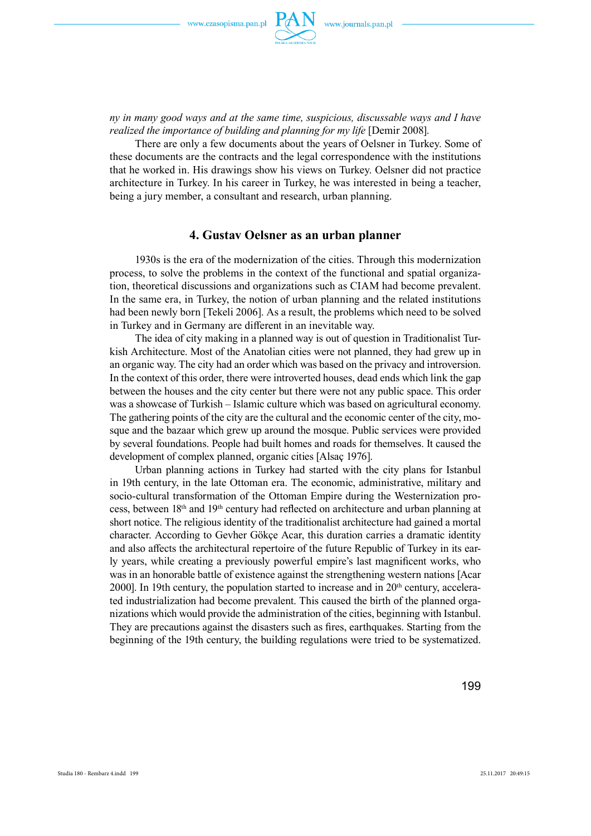

*ny in many good ways and at the same time, suspicious, discussable ways and I have realized the importance of building and planning for my life* [Demir 2008].

There are only a few documents about the years of Oelsner in Turkey. Some of these documents are the contracts and the legal correspondence with the institutions that he worked in. His drawings show his views on Turkey. Oelsner did not practice architecture in Turkey. In his career in Turkey, he was interested in being a teacher, being a jury member, a consultant and research, urban planning.

## **4. Gustav Oelsner as an urban planner**

1930s is the era of the modernization of the cities. Through this modernization process, to solve the problems in the context of the functional and spatial organization, theoretical discussions and organizations such as CIAM had become prevalent. In the same era, in Turkey, the notion of urban planning and the related institutions had been newly born [Tekeli 2006]. As a result, the problems which need to be solved in Turkey and in Germany are different in an inevitable way.

The idea of city making in a planned way is out of question in Traditionalist Turkish Architecture. Most of the Anatolian cities were not planned, they had grew up in an organic way. The city had an order which was based on the privacy and introversion. In the context of this order, there were introverted houses, dead ends which link the gap between the houses and the city center but there were not any public space. This order was a showcase of Turkish – Islamic culture which was based on agricultural economy. The gathering points of the city are the cultural and the economic center of the city, mosque and the bazaar which grew up around the mosque. Public services were provided by several foundations. People had built homes and roads for themselves. It caused the development of complex planned, organic cities [Alsaç 1976].

Urban planning actions in Turkey had started with the city plans for Istanbul in 19th century, in the late Ottoman era. The economic, administrative, military and socio-cultural transformation of the Ottoman Empire during the Westernization process, between 18<sup>th</sup> and 19<sup>th</sup> century had reflected on architecture and urban planning at short notice. The religious identity of the traditionalist architecture had gained a mortal character. According to Gevher Gökçe Acar, this duration carries a dramatic identity and also affects the architectural repertoire of the future Republic of Turkey in its early years, while creating a previously powerful empire's last magnificent works, who was in an honorable battle of existence against the strengthening western nations [Acar 2000]. In 19th century, the population started to increase and in  $20<sup>th</sup>$  century, accelerated industrialization had become prevalent. This caused the birth of the planned organizations which would provide the administration of the cities, beginning with Istanbul. They are precautions against the disasters such as fires, earthquakes. Starting from the beginning of the 19th century, the building regulations were tried to be systematized.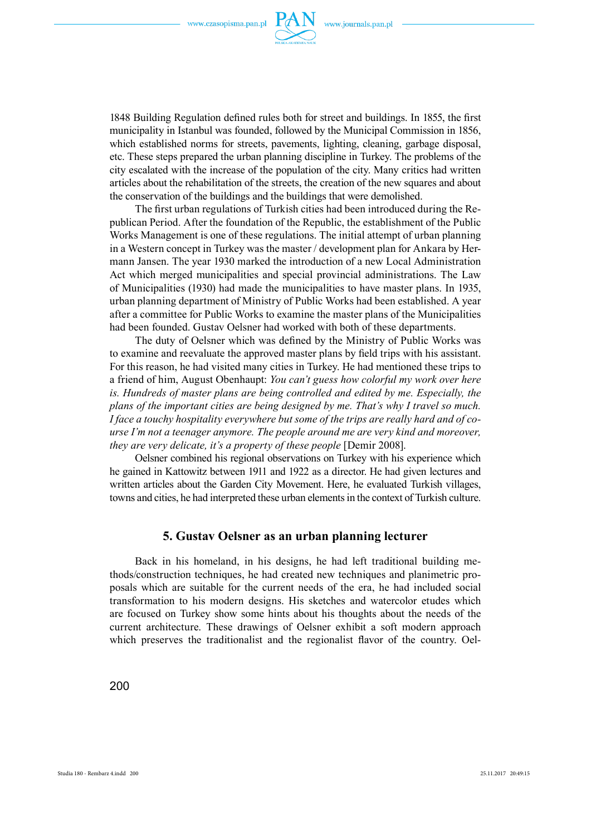

1848 Building Regulation defined rules both for street and buildings. In 1855, the first municipality in Istanbul was founded, followed by the Municipal Commission in 1856, which established norms for streets, pavements, lighting, cleaning, garbage disposal, etc. These steps prepared the urban planning discipline in Turkey. The problems of the city escalated with the increase of the population of the city. Many critics had written articles about the rehabilitation of the streets, the creation of the new squares and about the conservation of the buildings and the buildings that were demolished.

The first urban regulations of Turkish cities had been introduced during the Republican Period. After the foundation of the Republic, the establishment of the Public Works Management is one of these regulations. The initial attempt of urban planning in a Western concept in Turkey was the master / development plan for Ankara by Hermann Jansen. The year 1930 marked the introduction of a new Local Administration Act which merged municipalities and special provincial administrations. The Law of Municipalities (1930) had made the municipalities to have master plans. In 1935, urban planning department of Ministry of Public Works had been established. A year after a committee for Public Works to examine the master plans of the Municipalities had been founded. Gustav Oelsner had worked with both of these departments.

The duty of Oelsner which was defined by the Ministry of Public Works was to examine and reevaluate the approved master plans by field trips with his assistant. For this reason, he had visited many cities in Turkey. He had mentioned these trips to a friend of him, August Obenhaupt: *You can't guess how colorful my work over here is. Hundreds of master plans are being controlled and edited by me. Especially, the plans of the important cities are being designed by me. That's why I travel so much. I face a touchy hospitality everywhere but some of the trips are really hard and of course I'm not a teenager anymore. The people around me are very kind and moreover, they are very delicate, it's a property of these people* [Demir 2008].

Oelsner combined his regional observations on Turkey with his experience which he gained in Kattowitz between 1911 and 1922 as a director. He had given lectures and written articles about the Garden City Movement. Here, he evaluated Turkish villages, towns and cities, he had interpreted these urban elements in the context of Turkish culture.

#### **5. Gustav Oelsner as an urban planning lecturer**

Back in his homeland, in his designs, he had left traditional building methods/construction techniques, he had created new techniques and planimetric proposals which are suitable for the current needs of the era, he had included social transformation to his modern designs. His sketches and watercolor etudes which are focused on Turkey show some hints about his thoughts about the needs of the current architecture. These drawings of Oelsner exhibit a soft modern approach which preserves the traditionalist and the regionalist flavor of the country. Oel-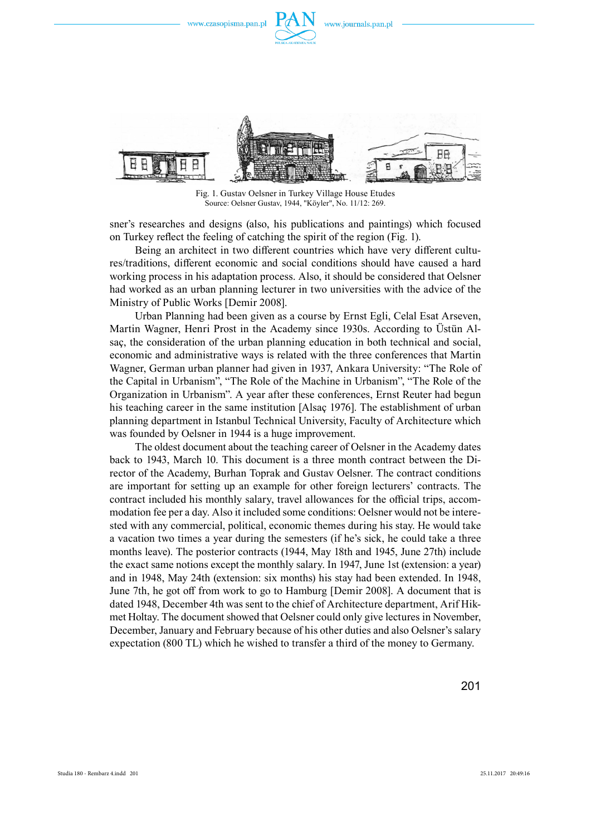

Fig. 1. Gustav Oelsner in Turkey Village House Etudes Source: Oelsner Gustav, 1944, "Köyler", No. 11/12: 269.

sner's researches and designs (also, his publications and paintings) which focused on Turkey reflect the feeling of catching the spirit of the region (Fig. 1).

Being an architect in two different countries which have very different cultures/traditions, different economic and social conditions should have caused a hard working process in his adaptation process. Also, it should be considered that Oelsner had worked as an urban planning lecturer in two universities with the advice of the Ministry of Public Works [Demir 2008].

Urban Planning had been given as a course by Ernst Egli, Celal Esat Arseven, Martin Wagner, Henri Prost in the Academy since 1930s. According to Üstün Alsaç, the consideration of the urban planning education in both technical and social, economic and administrative ways is related with the three conferences that Martin Wagner, German urban planner had given in 1937, Ankara University: "The Role of the Capital in Urbanism", "The Role of the Machine in Urbanism", "The Role of the Organization in Urbanism". A year after these conferences, Ernst Reuter had begun his teaching career in the same institution [Alsaç 1976]. The establishment of urban planning department in Istanbul Technical University, Faculty of Architecture which was founded by Oelsner in 1944 is a huge improvement.

The oldest document about the teaching career of Oelsner in the Academy dates back to 1943, March 10. This document is a three month contract between the Director of the Academy, Burhan Toprak and Gustav Oelsner. The contract conditions are important for setting up an example for other foreign lecturers' contracts. The contract included his monthly salary, travel allowances for the official trips, accommodation fee per a day. Also it included some conditions: Oelsner would not be interested with any commercial, political, economic themes during his stay. He would take a vacation two times a year during the semesters (if he's sick, he could take a three months leave). The posterior contracts (1944, May 18th and 1945, June 27th) include the exact same notions except the monthly salary. In 1947, June 1st (extension: a year) and in 1948, May 24th (extension: six months) his stay had been extended. In 1948, June 7th, he got off from work to go to Hamburg [Demir 2008]. A document that is dated 1948, December 4th was sent to the chief of Architecture department, Arif Hikmet Holtay. The document showed that Oelsner could only give lectures in November, December, January and February because of his other duties and also Oelsner's salary expectation (800 TL) which he wished to transfer a third of the money to Germany.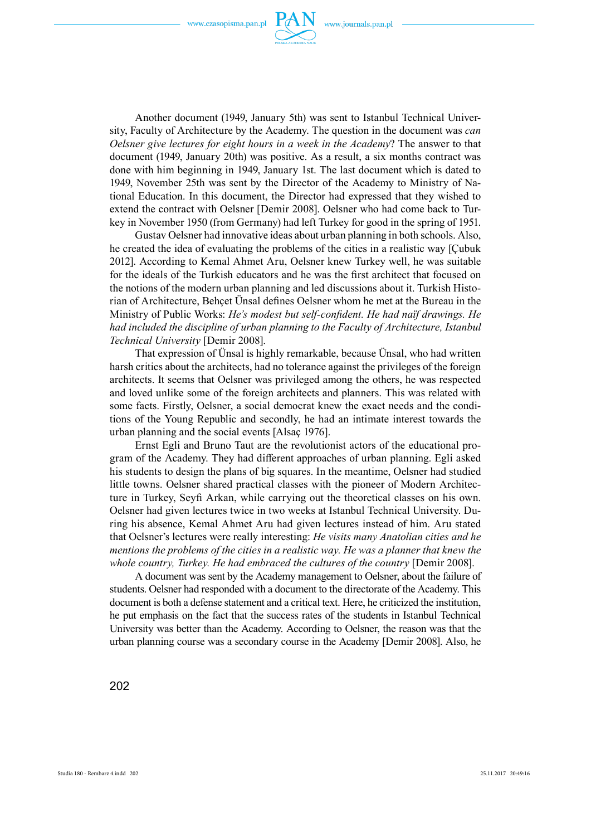

Another document (1949, January 5th) was sent to Istanbul Technical University, Faculty of Architecture by the Academy. The question in the document was *can Oelsner give lectures for eight hours in a week in the Academy*? The answer to that document (1949, January 20th) was positive. As a result, a six months contract was done with him beginning in 1949, January 1st. The last document which is dated to 1949, November 25th was sent by the Director of the Academy to Ministry of National Education. In this document, the Director had expressed that they wished to extend the contract with Oelsner [Demir 2008]. Oelsner who had come back to Turkey in November 1950 (from Germany) had left Turkey for good in the spring of 1951.

Gustav Oelsner had innovative ideas about urban planning in both schools. Also, he created the idea of evaluating the problems of the cities in a realistic way [Çubuk 2012]. According to Kemal Ahmet Aru, Oelsner knew Turkey well, he was suitable for the ideals of the Turkish educators and he was the first architect that focused on the notions of the modern urban planning and led discussions about it. Turkish Historian of Architecture, Behçet Ünsal defines Oelsner whom he met at the Bureau in the Ministry of Public Works: *He's modest but self-confident. He had naïf drawings. He had included the discipline of urban planning to the Faculty of Architecture, Istanbul Technical University* [Demir 2008].

That expression of Ünsal is highly remarkable, because Ünsal, who had written harsh critics about the architects, had no tolerance against the privileges of the foreign architects. It seems that Oelsner was privileged among the others, he was respected and loved unlike some of the foreign architects and planners. This was related with some facts. Firstly, Oelsner, a social democrat knew the exact needs and the conditions of the Young Republic and secondly, he had an intimate interest towards the urban planning and the social events [Alsaç 1976].

Ernst Egli and Bruno Taut are the revolutionist actors of the educational program of the Academy. They had different approaches of urban planning. Egli asked his students to design the plans of big squares. In the meantime, Oelsner had studied little towns. Oelsner shared practical classes with the pioneer of Modern Architecture in Turkey, Seyfi Arkan, while carrying out the theoretical classes on his own. Oelsner had given lectures twice in two weeks at Istanbul Technical University. During his absence, Kemal Ahmet Aru had given lectures instead of him. Aru stated that Oelsner's lectures were really interesting: *He visits many Anatolian cities and he mentions the problems of the cities in a realistic way. He was a planner that knew the whole country, Turkey. He had embraced the cultures of the country* [Demir 2008].

A document was sent by the Academy management to Oelsner, about the failure of students. Oelsner had responded with a document to the directorate of the Academy. This document is both a defense statement and a critical text. Here, he criticized the institution, he put emphasis on the fact that the success rates of the students in Istanbul Technical University was better than the Academy. According to Oelsner, the reason was that the urban planning course was a secondary course in the Academy [Demir 2008]. Also, he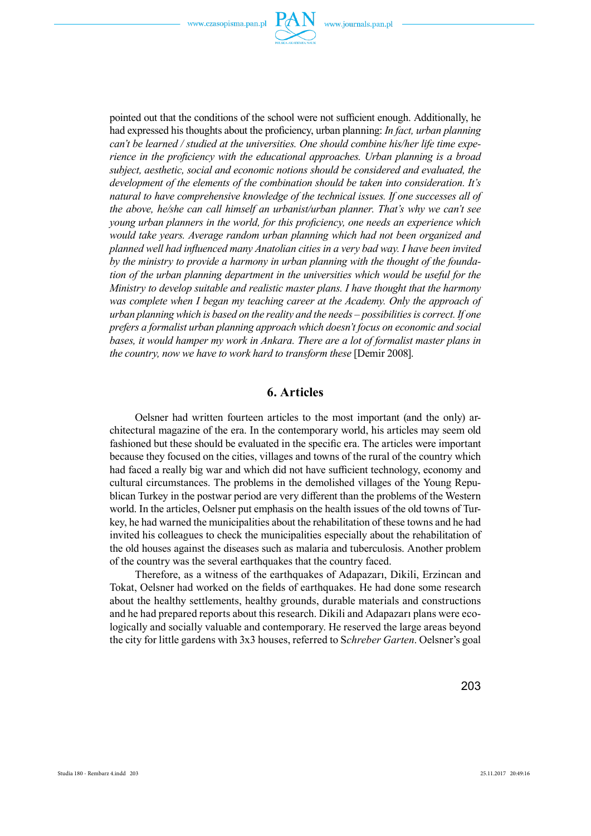

pointed out that the conditions of the school were not sufficient enough. Additionally, he had expressed his thoughts about the proficiency, urban planning: *In fact, urban planning can't be learned / studied at the universities. One should combine his/her life time experience in the proficiency with the educational approaches. Urban planning is a broad subject, aesthetic, social and economic notions should be considered and evaluated, the development of the elements of the combination should be taken into consideration. It's natural to have comprehensive knowledge of the technical issues. If one successes all of the above, he/she can call himself an urbanist/urban planner. That's why we can't see young urban planners in the world, for this proficiency, one needs an experience which would take years. Average random urban planning which had not been organized and planned well had influenced many Anatolian cities in a very bad way. I have been invited by the ministry to provide a harmony in urban planning with the thought of the foundation of the urban planning department in the universities which would be useful for the Ministry to develop suitable and realistic master plans. I have thought that the harmony was complete when I began my teaching career at the Academy. Only the approach of urban planning which is based on the reality and the needs – possibilities is correct. If one prefers a formalist urban planning approach which doesn't focus on economic and social bases, it would hamper my work in Ankara. There are a lot of formalist master plans in the country, now we have to work hard to transform these* [Demir 2008].

## **6. Articles**

Oelsner had written fourteen articles to the most important (and the only) architectural magazine of the era. In the contemporary world, his articles may seem old fashioned but these should be evaluated in the specific era. The articles were important because they focused on the cities, villages and towns of the rural of the country which had faced a really big war and which did not have sufficient technology, economy and cultural circumstances. The problems in the demolished villages of the Young Republican Turkey in the postwar period are very different than the problems of the Western world. In the articles, Oelsner put emphasis on the health issues of the old towns of Turkey, he had warned the municipalities about the rehabilitation of these towns and he had invited his colleagues to check the municipalities especially about the rehabilitation of the old houses against the diseases such as malaria and tuberculosis. Another problem of the country was the several earthquakes that the country faced.

Therefore, as a witness of the earthquakes of Adapazarı, Dikili, Erzincan and Tokat, Oelsner had worked on the fields of earthquakes. He had done some research about the healthy settlements, healthy grounds, durable materials and constructions and he had prepared reports about this research. Dikili and Adapazarı plans were ecologically and socially valuable and contemporary. He reserved the large areas beyond the city for little gardens with 3x3 houses, referred to S*chreber Garten*. Oelsner's goal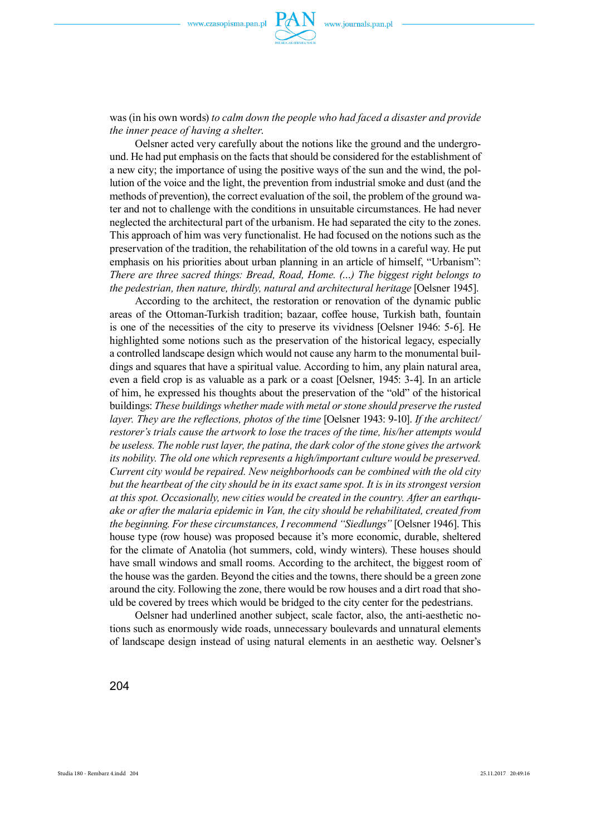

was (in his own words) *to calm down the people who had faced a disaster and provide the inner peace of having a shelter*.

Oelsner acted very carefully about the notions like the ground and the underground. He had put emphasis on the facts that should be considered for the establishment of a new city; the importance of using the positive ways of the sun and the wind, the pollution of the voice and the light, the prevention from industrial smoke and dust (and the methods of prevention), the correct evaluation of the soil, the problem of the ground water and not to challenge with the conditions in unsuitable circumstances. He had never neglected the architectural part of the urbanism. He had separated the city to the zones. This approach of him was very functionalist. He had focused on the notions such as the preservation of the tradition, the rehabilitation of the old towns in a careful way. He put emphasis on his priorities about urban planning in an article of himself, "Urbanism": *There are three sacred things: Bread, Road, Home. (…) The biggest right belongs to the pedestrian, then nature, thirdly, natural and architectural heritage* [Oelsner 1945].

According to the architect, the restoration or renovation of the dynamic public areas of the Ottoman-Turkish tradition; bazaar, coffee house, Turkish bath, fountain is one of the necessities of the city to preserve its vividness [Oelsner 1946: 5-6]. He highlighted some notions such as the preservation of the historical legacy, especially a controlled landscape design which would not cause any harm to the monumental buildings and squares that have a spiritual value. According to him, any plain natural area, even a field crop is as valuable as a park or a coast [Oelsner, 1945: 3-4]. In an article of him, he expressed his thoughts about the preservation of the "old" of the historical buildings: *These buildings whether made with metal or stone should preserve the rusted layer. They are the reflections, photos of the time* [Oelsner 1943: 9-10]. *If the architect/ restorer's trials cause the artwork to lose the traces of the time, his/her attempts would be useless. The noble rust layer, the patina, the dark color of the stone gives the artwork its nobility. The old one which represents a high/important culture would be preserved. Current city would be repaired. New neighborhoods can be combined with the old city but the heartbeat of the city should be in its exact same spot. It is in its strongest version at this spot. Occasionally, new cities would be created in the country. After an earthquake or after the malaria epidemic in Van, the city should be rehabilitated, created from the beginning. For these circumstances, I recommend "Siedlungs"* [Oelsner 1946]. This house type (row house) was proposed because it's more economic, durable, sheltered for the climate of Anatolia (hot summers, cold, windy winters). These houses should have small windows and small rooms. According to the architect, the biggest room of the house was the garden. Beyond the cities and the towns, there should be a green zone around the city. Following the zone, there would be row houses and a dirt road that should be covered by trees which would be bridged to the city center for the pedestrians.

Oelsner had underlined another subject, scale factor, also, the anti-aesthetic notions such as enormously wide roads, unnecessary boulevards and unnatural elements of landscape design instead of using natural elements in an aesthetic way. Oelsner's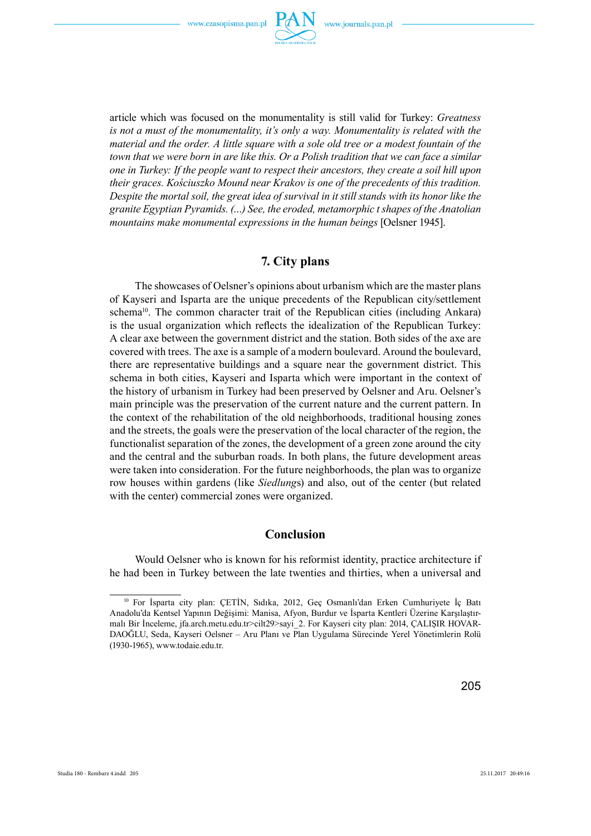

article which was focused on the monumentality is still valid for Turkey: *Greatness is not a must of the monumentality, it's only a way. Monumentality is related with the material and the order. A little square with a sole old tree or a modest fountain of the town that we were born in are like this. Or a Polish tradition that we can face a similar one in Turkey: If the people want to respect their ancestors, they create a soil hill upon their graces. Kościuszko Mound near Krakov is one of the precedents of this tradition. Despite the mortal soil, the great idea of survival in it still stands with its honor like the granite Egyptian Pyramids. (…) See, the eroded, metamorphic t shapes of the Anatolian mountains make monumental expressions in the human beings* [Oelsner 1945].

## **7. City plans**

The showcases of Oelsner's opinions about urbanism which are the master plans of Kayseri and Isparta are the unique precedents of the Republican city/settlement schema<sup>10</sup>. The common character trait of the Republican cities (including Ankara) is the usual organization which reflects the idealization of the Republican Turkey: A clear axe between the government district and the station. Both sides of the axe are covered with trees. The axe is a sample of a modern boulevard. Around the boulevard, there are representative buildings and a square near the government district. This schema in both cities, Kayseri and Isparta which were important in the context of the history of urbanism in Turkey had been preserved by Oelsner and Aru. Oelsner's main principle was the preservation of the current nature and the current pattern. In the context of the rehabilitation of the old neighborhoods, traditional housing zones and the streets, the goals were the preservation of the local character of the region, the functionalist separation of the zones, the development of a green zone around the city and the central and the suburban roads. In both plans, the future development areas were taken into consideration. For the future neighborhoods, the plan was to organize row houses within gardens (like *Siedlung*s) and also, out of the center (but related with the center) commercial zones were organized.

#### **Conclusion**

Would Oelsner who is known for his reformist identity, practice architecture if he had been in Turkey between the late twenties and thirties, when a universal and

<sup>&</sup>lt;sup>10</sup> For İsparta city plan: ÇETİN, Sıdıka, 2012, Geç Osmanlı'dan Erken Cumhuriyete İç Batı Anadolu'da Kentsel Yapının Değişimi: Manisa, Afyon, Burdur ve İsparta Kentleri Üzerine Karşılaştırmalı Bir İnceleme, jfa.arch.metu.edu.tr>cilt29>sayi 2. For Kayseri city plan: 2014, ÇALIŞIR HOVAR-DAOĞLU, Seda, Kayseri Oelsner – Aru Planı ve Plan Uygulama Sürecinde Yerel Yönetimlerin Rolü (1930-1965), www.todaie.edu.tr.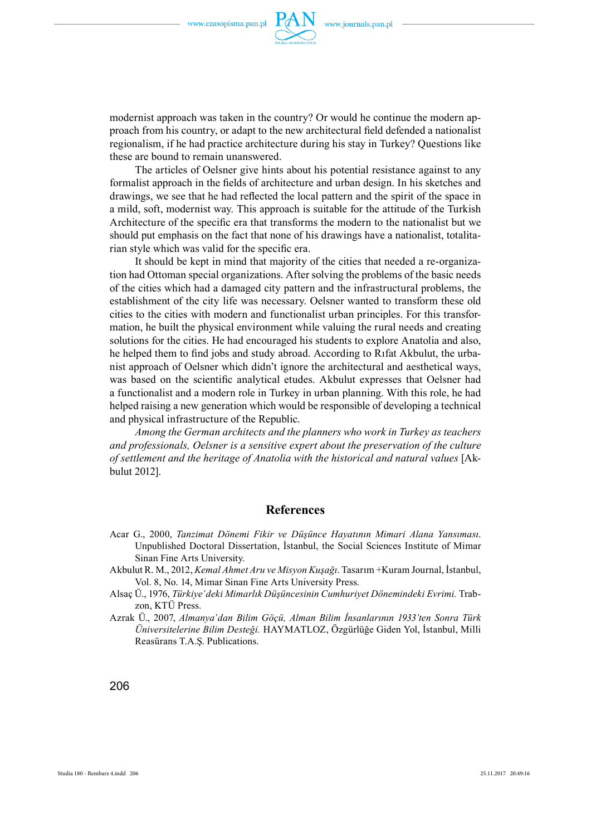

modernist approach was taken in the country? Or would he continue the modern approach from his country, or adapt to the new architectural field defended a nationalist regionalism, if he had practice architecture during his stay in Turkey? Questions like these are bound to remain unanswered.

The articles of Oelsner give hints about his potential resistance against to any formalist approach in the fields of architecture and urban design. In his sketches and drawings, we see that he had reflected the local pattern and the spirit of the space in a mild, soft, modernist way. This approach is suitable for the attitude of the Turkish Architecture of the specific era that transforms the modern to the nationalist but we should put emphasis on the fact that none of his drawings have a nationalist, totalitarian style which was valid for the specific era.

It should be kept in mind that majority of the cities that needed a re-organization had Ottoman special organizations. After solving the problems of the basic needs of the cities which had a damaged city pattern and the infrastructural problems, the establishment of the city life was necessary. Oelsner wanted to transform these old cities to the cities with modern and functionalist urban principles. For this transformation, he built the physical environment while valuing the rural needs and creating solutions for the cities. He had encouraged his students to explore Anatolia and also, he helped them to find jobs and study abroad. According to Rifat Akbulut, the urbanist approach of Oelsner which didn't ignore the architectural and aesthetical ways, was based on the scientific analytical etudes. Akbulut expresses that Oelsner had a functionalist and a modern role in Turkey in urban planning. With this role, he had helped raising a new generation which would be responsible of developing a technical and physical infrastructure of the Republic.

*Among the German architects and the planners who work in Turkey as teachers and professionals, Oelsner is a sensitive expert about the preservation of the culture of settlement and the heritage of Anatolia with the historical and natural values* [Akbulut 2012].

#### **References**

- Acar G., 2000, *Tanzimat Dönemi Fikir ve Düşünce Hayatının Mimari Alana Yansıması*. Unpublished Doctoral Dissertation, İstanbul, the Social Sciences Institute of Mimar Sinan Fine Arts University.
- Akbulut R. M., 2012, *Kemal Ahmet Aru ve Misyon Kuşağı*. Tasarım +Kuram Journal, İstanbul, Vol. 8, No. 14, Mimar Sinan Fine Arts University Press.
- Alsaç Ü., 1976, *Türkiye'deki Mimarlık Düşüncesinin Cumhuriyet Dönemindeki Evrimi.* Trabzon, KTÜ Press.
- Azrak Ü., 2007, *Almanya'dan Bilim Göçü, Alman Bilim İnsanlarının 1933'ten Sonra Türk Üniversitelerine Bilim Desteği.* HAYMATLOZ, Özgürlüğe Giden Yol, İstanbul, Milli Reasürans T.A.Ş. Publications.